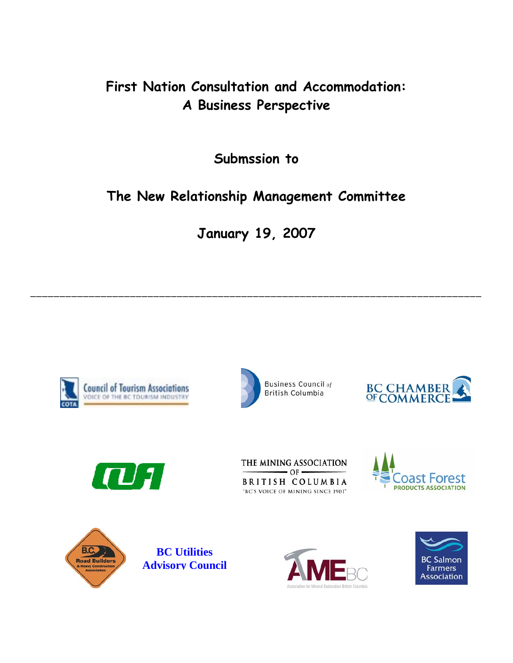## **First Nation Consultation and Accommodation: A Business Perspective**

**Submssion to** 

# **The New Relationship Management Committee**

**January 19, 2007** 

**\_\_\_\_\_\_\_\_\_\_\_\_\_\_\_\_\_\_\_\_\_\_\_\_\_\_\_\_\_\_\_\_\_\_\_\_\_\_\_\_\_\_\_\_\_\_\_\_\_\_\_\_\_\_\_\_\_\_\_\_\_\_\_\_\_\_\_\_\_\_\_\_\_\_\_\_\_** 



















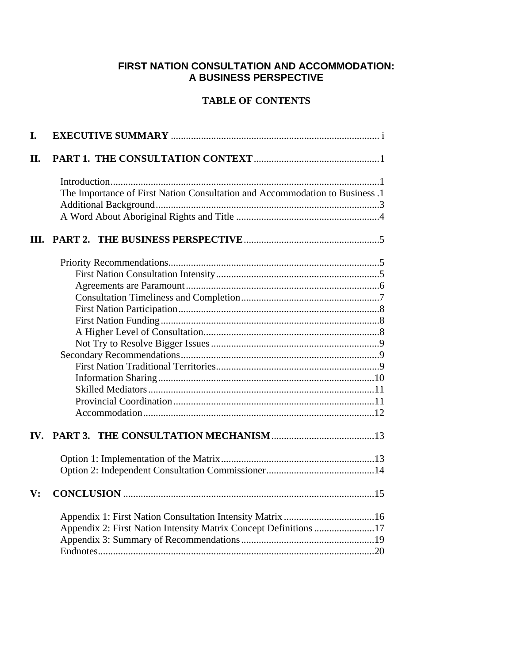## **FIRST NATION CONSULTATION AND ACCOMMODATION: A BUSINESS PERSPECTIVE**

## **TABLE OF CONTENTS**

| I.                    |                                                                              |  |
|-----------------------|------------------------------------------------------------------------------|--|
| II.                   |                                                                              |  |
|                       |                                                                              |  |
|                       | The Importance of First Nation Consultation and Accommodation to Business .1 |  |
|                       |                                                                              |  |
|                       |                                                                              |  |
| Ш.                    |                                                                              |  |
|                       |                                                                              |  |
|                       |                                                                              |  |
|                       |                                                                              |  |
|                       |                                                                              |  |
|                       |                                                                              |  |
|                       |                                                                              |  |
|                       |                                                                              |  |
|                       |                                                                              |  |
|                       |                                                                              |  |
|                       |                                                                              |  |
|                       |                                                                              |  |
|                       |                                                                              |  |
|                       |                                                                              |  |
|                       |                                                                              |  |
| $\mathbf{IV}_{\cdot}$ |                                                                              |  |
|                       |                                                                              |  |
|                       |                                                                              |  |
| $\mathbf{V}$ :        |                                                                              |  |
|                       |                                                                              |  |
|                       | Appendix 2: First Nation Intensity Matrix Concept Definitions 17             |  |
|                       |                                                                              |  |
|                       |                                                                              |  |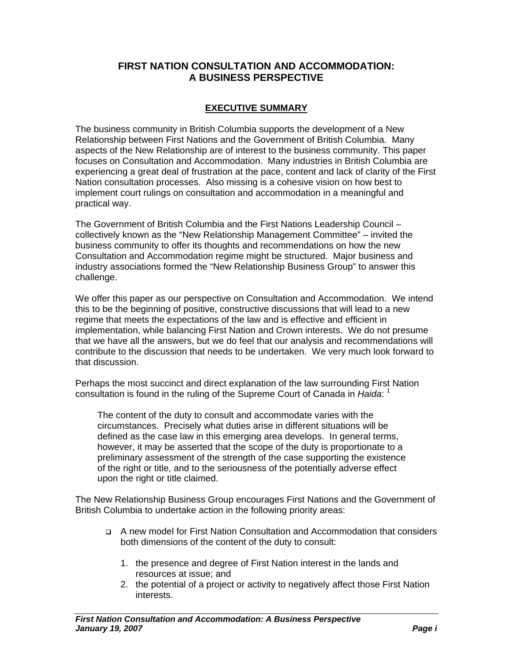## **FIRST NATION CONSULTATION AND ACCOMMODATION: A BUSINESS PERSPECTIVE**

## **EXECUTIVE SUMMARY**

The business community in British Columbia supports the development of a New Relationship between First Nations and the Government of British Columbia. Many aspects of the New Relationship are of interest to the business community. This paper focuses on Consultation and Accommodation. Many industries in British Columbia are experiencing a great deal of frustration at the pace, content and lack of clarity of the First Nation consultation processes. Also missing is a cohesive vision on how best to implement court rulings on consultation and accommodation in a meaningful and practical way.

The Government of British Columbia and the First Nations Leadership Council – collectively known as the "New Relationship Management Committee" – invited the business community to offer its thoughts and recommendations on how the new Consultation and Accommodation regime might be structured. Major business and industry associations formed the "New Relationship Business Group" to answer this challenge.

We offer this paper as our perspective on Consultation and Accommodation. We intend this to be the beginning of positive, constructive discussions that will lead to a new regime that meets the expectations of the law and is effective and efficient in implementation, while balancing First Nation and Crown interests. We do not presume that we have all the answers, but we do feel that our analysis and recommendations will contribute to the discussion that needs to be undertaken. We very much look forward to that discussion.

Perhaps the most succinct and direct explanation of the law surrounding First Nation consultation is found in the ruling of the Supreme Court of Canada in *Haida*: <sup>1</sup>

The content of the duty to consult and accommodate varies with the circumstances. Precisely what duties arise in different situations will be defined as the case law in this emerging area develops. In general terms, however, it may be asserted that the scope of the duty is proportionate to a preliminary assessment of the strength of the case supporting the existence of the right or title, and to the seriousness of the potentially adverse effect upon the right or title claimed.

The New Relationship Business Group encourages First Nations and the Government of British Columbia to undertake action in the following priority areas:

- A new model for First Nation Consultation and Accommodation that considers both dimensions of the content of the duty to consult:
	- 1. the presence and degree of First Nation interest in the lands and resources at issue; and
	- 2. the potential of a project or activity to negatively affect those First Nation interests.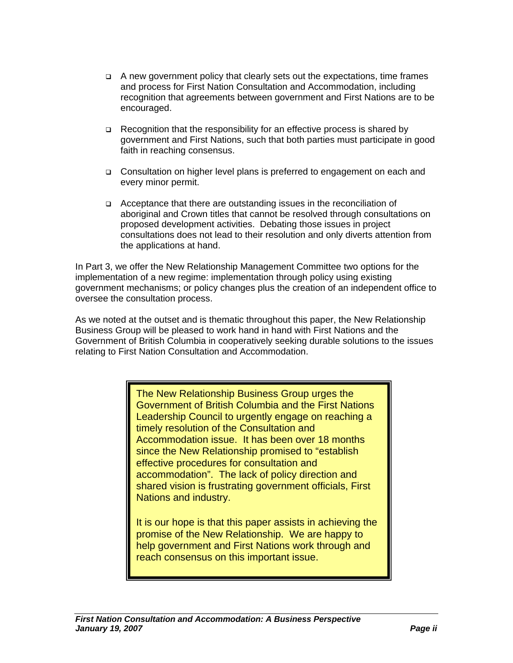- $\Box$  A new government policy that clearly sets out the expectations, time frames and process for First Nation Consultation and Accommodation, including recognition that agreements between government and First Nations are to be encouraged.
- $\Box$  Recognition that the responsibility for an effective process is shared by government and First Nations, such that both parties must participate in good faith in reaching consensus.
- Consultation on higher level plans is preferred to engagement on each and every minor permit.
- Acceptance that there are outstanding issues in the reconciliation of aboriginal and Crown titles that cannot be resolved through consultations on proposed development activities. Debating those issues in project consultations does not lead to their resolution and only diverts attention from the applications at hand.

In Part 3, we offer the New Relationship Management Committee two options for the implementation of a new regime: implementation through policy using existing government mechanisms; or policy changes plus the creation of an independent office to oversee the consultation process.

As we noted at the outset and is thematic throughout this paper, the New Relationship Business Group will be pleased to work hand in hand with First Nations and the Government of British Columbia in cooperatively seeking durable solutions to the issues relating to First Nation Consultation and Accommodation.

> The New Relationship Business Group urges the Government of British Columbia and the First Nations Leadership Council to urgently engage on reaching a timely resolution of the Consultation and Accommodation issue. It has been over 18 months since the New Relationship promised to "establish effective procedures for consultation and accommodation". The lack of policy direction and shared vision is frustrating government officials, First Nations and industry.

> It is our hope is that this paper assists in achieving the promise of the New Relationship. We are happy to help government and First Nations work through and reach consensus on this important issue.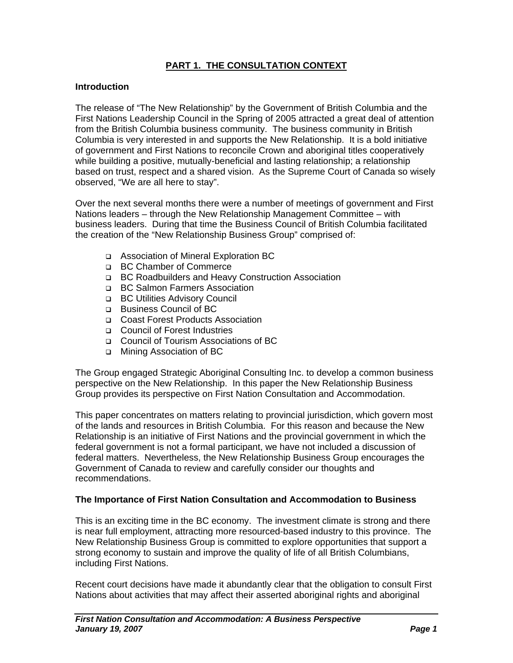## **PART 1. THE CONSULTATION CONTEXT**

#### **Introduction**

The release of "The New Relationship" by the Government of British Columbia and the First Nations Leadership Council in the Spring of 2005 attracted a great deal of attention from the British Columbia business community. The business community in British Columbia is very interested in and supports the New Relationship. It is a bold initiative of government and First Nations to reconcile Crown and aboriginal titles cooperatively while building a positive, mutually-beneficial and lasting relationship; a relationship based on trust, respect and a shared vision. As the Supreme Court of Canada so wisely observed, "We are all here to stay".

Over the next several months there were a number of meetings of government and First Nations leaders – through the New Relationship Management Committee – with business leaders. During that time the Business Council of British Columbia facilitated the creation of the "New Relationship Business Group" comprised of:

- Association of Mineral Exploration BC
- □ BC Chamber of Commerce
- BC Roadbuilders and Heavy Construction Association
- □ BC Salmon Farmers Association
- □ BC Utilities Advisory Council
- Business Council of BC
- □ Coast Forest Products Association
- □ Council of Forest Industries
- Council of Tourism Associations of BC
- Mining Association of BC

The Group engaged Strategic Aboriginal Consulting Inc. to develop a common business perspective on the New Relationship. In this paper the New Relationship Business Group provides its perspective on First Nation Consultation and Accommodation.

This paper concentrates on matters relating to provincial jurisdiction, which govern most of the lands and resources in British Columbia. For this reason and because the New Relationship is an initiative of First Nations and the provincial government in which the federal government is not a formal participant, we have not included a discussion of federal matters. Nevertheless, the New Relationship Business Group encourages the Government of Canada to review and carefully consider our thoughts and recommendations.

#### **The Importance of First Nation Consultation and Accommodation to Business**

This is an exciting time in the BC economy. The investment climate is strong and there is near full employment, attracting more resourced-based industry to this province. The New Relationship Business Group is committed to explore opportunities that support a strong economy to sustain and improve the quality of life of all British Columbians, including First Nations.

Recent court decisions have made it abundantly clear that the obligation to consult First Nations about activities that may affect their asserted aboriginal rights and aboriginal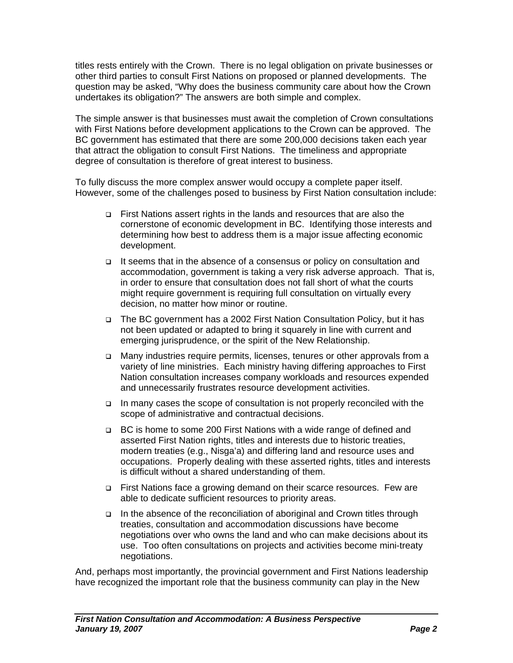titles rests entirely with the Crown. There is no legal obligation on private businesses or other third parties to consult First Nations on proposed or planned developments. The question may be asked, "Why does the business community care about how the Crown undertakes its obligation?" The answers are both simple and complex.

The simple answer is that businesses must await the completion of Crown consultations with First Nations before development applications to the Crown can be approved. The BC government has estimated that there are some 200,000 decisions taken each year that attract the obligation to consult First Nations. The timeliness and appropriate degree of consultation is therefore of great interest to business.

To fully discuss the more complex answer would occupy a complete paper itself. However, some of the challenges posed to business by First Nation consultation include:

- First Nations assert rights in the lands and resources that are also the cornerstone of economic development in BC. Identifying those interests and determining how best to address them is a major issue affecting economic development.
- □ It seems that in the absence of a consensus or policy on consultation and accommodation, government is taking a very risk adverse approach. That is, in order to ensure that consultation does not fall short of what the courts might require government is requiring full consultation on virtually every decision, no matter how minor or routine.
- The BC government has a 2002 First Nation Consultation Policy, but it has not been updated or adapted to bring it squarely in line with current and emerging jurisprudence, or the spirit of the New Relationship.
- Many industries require permits, licenses, tenures or other approvals from a variety of line ministries. Each ministry having differing approaches to First Nation consultation increases company workloads and resources expended and unnecessarily frustrates resource development activities.
- In many cases the scope of consultation is not properly reconciled with the scope of administrative and contractual decisions.
- □ BC is home to some 200 First Nations with a wide range of defined and asserted First Nation rights, titles and interests due to historic treaties, modern treaties (e.g., Nisga'a) and differing land and resource uses and occupations. Properly dealing with these asserted rights, titles and interests is difficult without a shared understanding of them.
- □ First Nations face a growing demand on their scarce resources. Few are able to dedicate sufficient resources to priority areas.
- In the absence of the reconciliation of aboriginal and Crown titles through treaties, consultation and accommodation discussions have become negotiations over who owns the land and who can make decisions about its use. Too often consultations on projects and activities become mini-treaty negotiations.

And, perhaps most importantly, the provincial government and First Nations leadership have recognized the important role that the business community can play in the New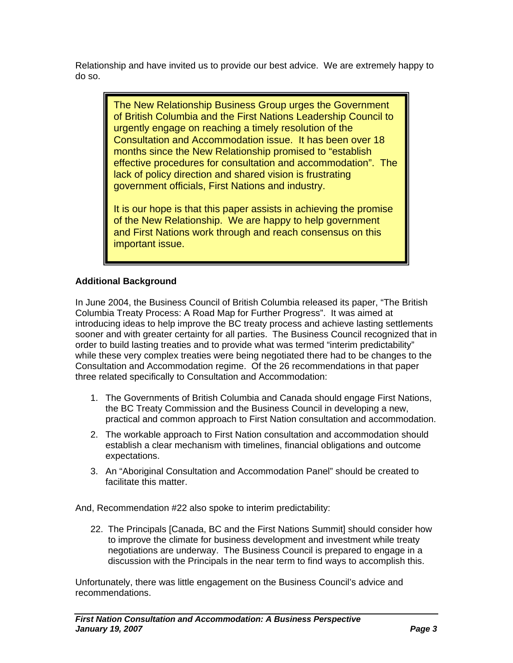Relationship and have invited us to provide our best advice. We are extremely happy to do so.

> The New Relationship Business Group urges the Government of British Columbia and the First Nations Leadership Council to urgently engage on reaching a timely resolution of the Consultation and Accommodation issue. It has been over 18 months since the New Relationship promised to "establish effective procedures for consultation and accommodation". The lack of policy direction and shared vision is frustrating government officials, First Nations and industry.

It is our hope is that this paper assists in achieving the promise of the New Relationship. We are happy to help government and First Nations work through and reach consensus on this important issue.

## **Additional Background**

In June 2004, the Business Council of British Columbia released its paper, "The British Columbia Treaty Process: A Road Map for Further Progress". It was aimed at introducing ideas to help improve the BC treaty process and achieve lasting settlements sooner and with greater certainty for all parties. The Business Council recognized that in order to build lasting treaties and to provide what was termed "interim predictability" while these very complex treaties were being negotiated there had to be changes to the Consultation and Accommodation regime. Of the 26 recommendations in that paper three related specifically to Consultation and Accommodation:

- 1. The Governments of British Columbia and Canada should engage First Nations, the BC Treaty Commission and the Business Council in developing a new, practical and common approach to First Nation consultation and accommodation.
- 2. The workable approach to First Nation consultation and accommodation should establish a clear mechanism with timelines, financial obligations and outcome expectations.
- 3. An "Aboriginal Consultation and Accommodation Panel" should be created to facilitate this matter.

And, Recommendation #22 also spoke to interim predictability:

22. The Principals [Canada, BC and the First Nations Summit] should consider how to improve the climate for business development and investment while treaty negotiations are underway. The Business Council is prepared to engage in a discussion with the Principals in the near term to find ways to accomplish this.

Unfortunately, there was little engagement on the Business Council's advice and recommendations.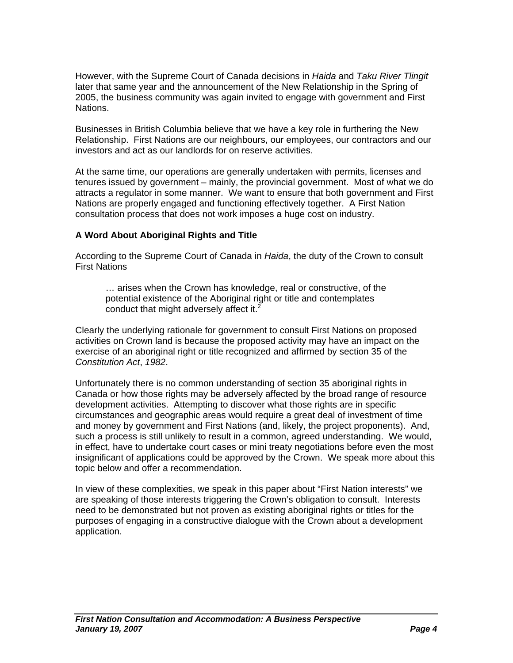However, with the Supreme Court of Canada decisions in *Haida* and *Taku River Tlingit* later that same year and the announcement of the New Relationship in the Spring of 2005, the business community was again invited to engage with government and First Nations.

Businesses in British Columbia believe that we have a key role in furthering the New Relationship. First Nations are our neighbours, our employees, our contractors and our investors and act as our landlords for on reserve activities.

At the same time, our operations are generally undertaken with permits, licenses and tenures issued by government – mainly, the provincial government. Most of what we do attracts a regulator in some manner. We want to ensure that both government and First Nations are properly engaged and functioning effectively together. A First Nation consultation process that does not work imposes a huge cost on industry.

#### **A Word About Aboriginal Rights and Title**

According to the Supreme Court of Canada in *Haida*, the duty of the Crown to consult First Nations

… arises when the Crown has knowledge, real or constructive, of the potential existence of the Aboriginal right or title and contemplates conduct that might adversely affect it.<sup>2</sup>

Clearly the underlying rationale for government to consult First Nations on proposed activities on Crown land is because the proposed activity may have an impact on the exercise of an aboriginal right or title recognized and affirmed by section 35 of the *Constitution Act*, *1982*.

Unfortunately there is no common understanding of section 35 aboriginal rights in Canada or how those rights may be adversely affected by the broad range of resource development activities. Attempting to discover what those rights are in specific circumstances and geographic areas would require a great deal of investment of time and money by government and First Nations (and, likely, the project proponents). And, such a process is still unlikely to result in a common, agreed understanding. We would, in effect, have to undertake court cases or mini treaty negotiations before even the most insignificant of applications could be approved by the Crown. We speak more about this topic below and offer a recommendation.

In view of these complexities, we speak in this paper about "First Nation interests" we are speaking of those interests triggering the Crown's obligation to consult. Interests need to be demonstrated but not proven as existing aboriginal rights or titles for the purposes of engaging in a constructive dialogue with the Crown about a development application.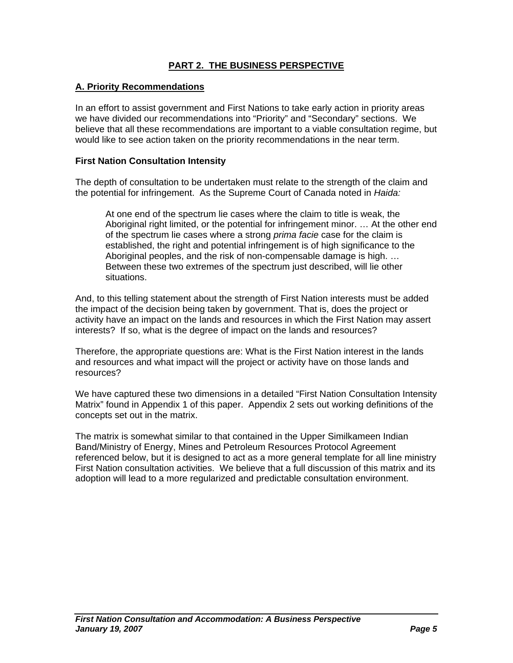## **PART 2. THE BUSINESS PERSPECTIVE**

#### **A. Priority Recommendations**

In an effort to assist government and First Nations to take early action in priority areas we have divided our recommendations into "Priority" and "Secondary" sections. We believe that all these recommendations are important to a viable consultation regime, but would like to see action taken on the priority recommendations in the near term.

#### **First Nation Consultation Intensity**

The depth of consultation to be undertaken must relate to the strength of the claim and the potential for infringement. As the Supreme Court of Canada noted in *Haida:* 

At one end of the spectrum lie cases where the claim to title is weak, the Aboriginal right limited, or the potential for infringement minor. … At the other end of the spectrum lie cases where a strong *prima facie* case for the claim is established, the right and potential infringement is of high significance to the Aboriginal peoples, and the risk of non-compensable damage is high. … Between these two extremes of the spectrum just described, will lie other situations.

And, to this telling statement about the strength of First Nation interests must be added the impact of the decision being taken by government. That is, does the project or activity have an impact on the lands and resources in which the First Nation may assert interests? If so, what is the degree of impact on the lands and resources?

Therefore, the appropriate questions are: What is the First Nation interest in the lands and resources and what impact will the project or activity have on those lands and resources?

We have captured these two dimensions in a detailed "First Nation Consultation Intensity Matrix" found in Appendix 1 of this paper. Appendix 2 sets out working definitions of the concepts set out in the matrix.

The matrix is somewhat similar to that contained in the Upper Similkameen Indian Band/Ministry of Energy, Mines and Petroleum Resources Protocol Agreement referenced below, but it is designed to act as a more general template for all line ministry First Nation consultation activities. We believe that a full discussion of this matrix and its adoption will lead to a more regularized and predictable consultation environment.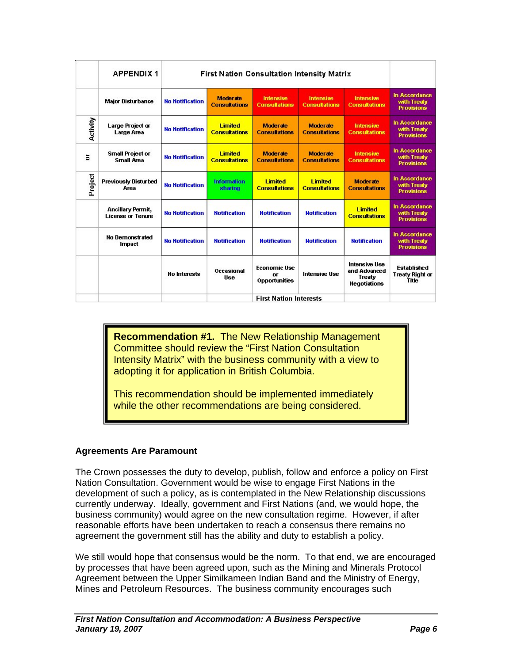|          | <b>APPENDIX 1</b><br><b>Major Disturbance</b> | <b>First Nation Consultation Intensity Matrix</b> |                                         |                                                   |                                        |                                                                       |                                                              |
|----------|-----------------------------------------------|---------------------------------------------------|-----------------------------------------|---------------------------------------------------|----------------------------------------|-----------------------------------------------------------------------|--------------------------------------------------------------|
|          |                                               | <b>No Notification</b>                            | <b>Moderate</b><br><b>Consultations</b> | Intensive<br><b>Consultations</b>                 | Intensive<br><b>Consultations</b>      | Intensive<br><b>Consultations</b>                                     | In Accordance<br>with Treaty<br><b>Provisions</b>            |
| Activity | Large Project or<br>Large Area                | <b>No Notification</b>                            | <b>Limited</b><br><b>Consultations</b>  | Moderate<br><b>Consultations</b>                  | Moderate<br><b>Consultations</b>       | Intensive<br><b>Consultations</b>                                     | In Accordance<br>with Treaty<br><b>Provisions</b>            |
| ă        | <b>Small Project or</b><br><b>Small Area</b>  | <b>No Notification</b>                            | <b>Limited</b><br><b>Consultations</b>  | <b>Moderate</b><br><b>Consultations</b>           | Moderate<br><b>Consultations</b>       | Intensive<br><b>Consultations</b>                                     | In Accordance<br>with Treaty<br><b>Provisions</b>            |
| Project  | <b>Previously Disturbed</b><br>Area           | <b>No Notification</b>                            | <b>Information</b><br>sharing           | <b>Limited</b><br><b>Consultations</b>            | <b>Limited</b><br><b>Consultations</b> | <b>Moderate</b><br><b>Consultations</b>                               | In Accordance<br>with Treaty<br><b>Provisions</b>            |
|          | Ancillary Permit,<br><b>License or Tenure</b> | <b>No Notification</b>                            | <b>Notification</b>                     | <b>Notification</b>                               | <b>Notification</b>                    | <b>Limited</b><br><b>Consultations</b>                                | In Accordance<br>with Treaty<br><b>Provisions</b>            |
|          | <b>No Demonstrated</b><br><b>Impact</b>       | <b>No Notification</b>                            | <b>Notification</b>                     | <b>Notification</b>                               | <b>Notification</b>                    | <b>Notification</b>                                                   | In Accordance<br>with Treaty<br><b>Provisions</b>            |
|          |                                               | <b>No Interests</b>                               | Occasional<br><b>Ilse</b>               | <b>Economic Use</b><br>or<br><b>Opportunities</b> | <b>Intensive Use</b>                   | <b>Intensive Use</b><br>and Advanced<br>Treaty<br><b>Negotiations</b> | <b>Established</b><br><b>Treaty Right or</b><br><b>Title</b> |
|          |                                               | <b>First Nation Interests</b>                     |                                         |                                                   |                                        |                                                                       |                                                              |

**Recommendation #1.** The New Relationship Management Committee should review the "First Nation Consultation Intensity Matrix" with the business community with a view to adopting it for application in British Columbia.

This recommendation should be implemented immediately while the other recommendations are being considered.

### **Agreements Are Paramount**

The Crown possesses the duty to develop, publish, follow and enforce a policy on First Nation Consultation. Government would be wise to engage First Nations in the development of such a policy, as is contemplated in the New Relationship discussions currently underway. Ideally, government and First Nations (and, we would hope, the business community) would agree on the new consultation regime. However, if after reasonable efforts have been undertaken to reach a consensus there remains no agreement the government still has the ability and duty to establish a policy.

We still would hope that consensus would be the norm. To that end, we are encouraged by processes that have been agreed upon, such as the Mining and Minerals Protocol Agreement between the Upper Similkameen Indian Band and the Ministry of Energy, Mines and Petroleum Resources. The business community encourages such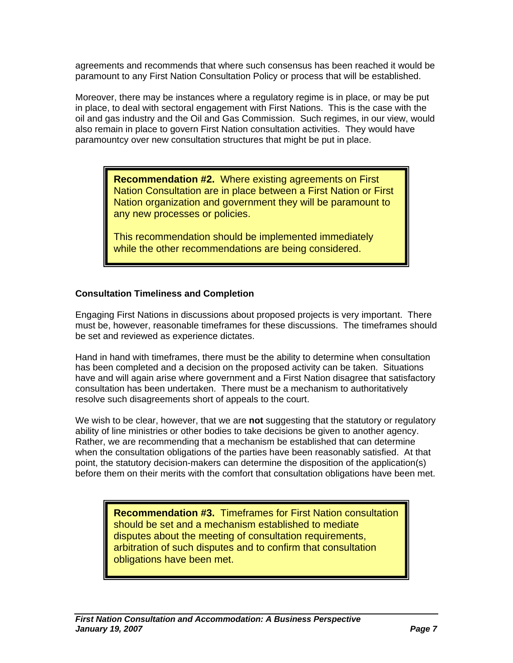agreements and recommends that where such consensus has been reached it would be paramount to any First Nation Consultation Policy or process that will be established.

Moreover, there may be instances where a regulatory regime is in place, or may be put in place, to deal with sectoral engagement with First Nations. This is the case with the oil and gas industry and the Oil and Gas Commission. Such regimes, in our view, would also remain in place to govern First Nation consultation activities. They would have paramountcy over new consultation structures that might be put in place.

> **Recommendation #2.** Where existing agreements on First Nation Consultation are in place between a First Nation or First Nation organization and government they will be paramount to any new processes or policies.

This recommendation should be implemented immediately while the other recommendations are being considered.

#### **Consultation Timeliness and Completion**

Engaging First Nations in discussions about proposed projects is very important. There must be, however, reasonable timeframes for these discussions. The timeframes should be set and reviewed as experience dictates.

Hand in hand with timeframes, there must be the ability to determine when consultation has been completed and a decision on the proposed activity can be taken. Situations have and will again arise where government and a First Nation disagree that satisfactory consultation has been undertaken. There must be a mechanism to authoritatively resolve such disagreements short of appeals to the court.

We wish to be clear, however, that we are **not** suggesting that the statutory or regulatory ability of line ministries or other bodies to take decisions be given to another agency. Rather, we are recommending that a mechanism be established that can determine when the consultation obligations of the parties have been reasonably satisfied. At that point, the statutory decision-makers can determine the disposition of the application(s) before them on their merits with the comfort that consultation obligations have been met.

> **Recommendation #3.** Timeframes for First Nation consultation should be set and a mechanism established to mediate disputes about the meeting of consultation requirements, arbitration of such disputes and to confirm that consultation obligations have been met.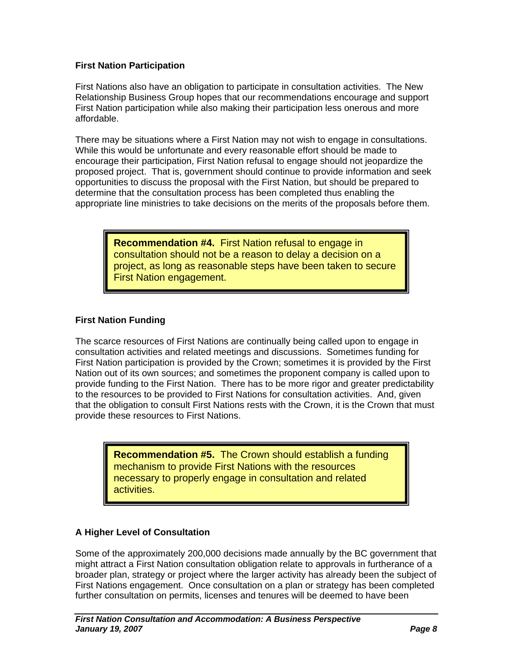#### **First Nation Participation**

First Nations also have an obligation to participate in consultation activities. The New Relationship Business Group hopes that our recommendations encourage and support First Nation participation while also making their participation less onerous and more affordable.

There may be situations where a First Nation may not wish to engage in consultations. While this would be unfortunate and every reasonable effort should be made to encourage their participation, First Nation refusal to engage should not jeopardize the proposed project. That is, government should continue to provide information and seek opportunities to discuss the proposal with the First Nation, but should be prepared to determine that the consultation process has been completed thus enabling the appropriate line ministries to take decisions on the merits of the proposals before them.

> **Recommendation #4.** First Nation refusal to engage in consultation should not be a reason to delay a decision on a project, as long as reasonable steps have been taken to secure First Nation engagement.

### **First Nation Funding**

The scarce resources of First Nations are continually being called upon to engage in consultation activities and related meetings and discussions. Sometimes funding for First Nation participation is provided by the Crown; sometimes it is provided by the First Nation out of its own sources; and sometimes the proponent company is called upon to provide funding to the First Nation. There has to be more rigor and greater predictability to the resources to be provided to First Nations for consultation activities. And, given that the obligation to consult First Nations rests with the Crown, it is the Crown that must provide these resources to First Nations.

> **Recommendation #5.** The Crown should establish a funding mechanism to provide First Nations with the resources necessary to properly engage in consultation and related activities.

### **A Higher Level of Consultation**

Some of the approximately 200,000 decisions made annually by the BC government that might attract a First Nation consultation obligation relate to approvals in furtherance of a broader plan, strategy or project where the larger activity has already been the subject of First Nations engagement. Once consultation on a plan or strategy has been completed further consultation on permits, licenses and tenures will be deemed to have been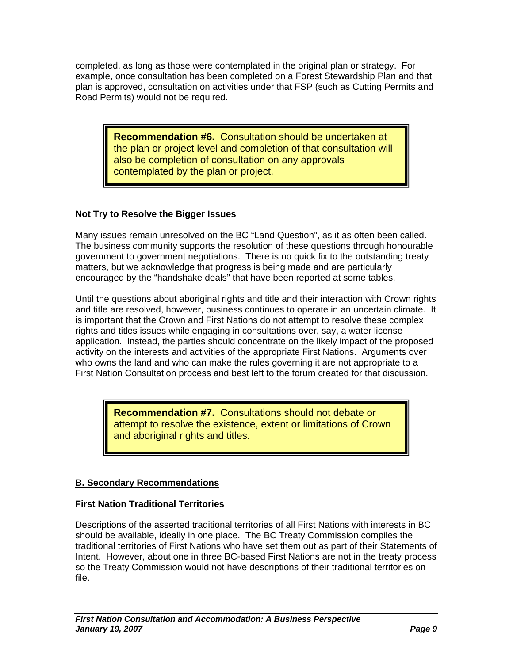completed, as long as those were contemplated in the original plan or strategy. For example, once consultation has been completed on a Forest Stewardship Plan and that plan is approved, consultation on activities under that FSP (such as Cutting Permits and Road Permits) would not be required.

> **Recommendation #6.** Consultation should be undertaken at the plan or project level and completion of that consultation will also be completion of consultation on any approvals contemplated by the plan or project.

### **Not Try to Resolve the Bigger Issues**

Many issues remain unresolved on the BC "Land Question", as it as often been called. The business community supports the resolution of these questions through honourable government to government negotiations. There is no quick fix to the outstanding treaty matters, but we acknowledge that progress is being made and are particularly encouraged by the "handshake deals" that have been reported at some tables.

Until the questions about aboriginal rights and title and their interaction with Crown rights and title are resolved, however, business continues to operate in an uncertain climate. It is important that the Crown and First Nations do not attempt to resolve these complex rights and titles issues while engaging in consultations over, say, a water license application. Instead, the parties should concentrate on the likely impact of the proposed activity on the interests and activities of the appropriate First Nations. Arguments over who owns the land and who can make the rules governing it are not appropriate to a First Nation Consultation process and best left to the forum created for that discussion.

> **Recommendation #7.** Consultations should not debate or attempt to resolve the existence, extent or limitations of Crown and aboriginal rights and titles.

## **B. Secondary Recommendations**

### **First Nation Traditional Territories**

Descriptions of the asserted traditional territories of all First Nations with interests in BC should be available, ideally in one place. The BC Treaty Commission compiles the traditional territories of First Nations who have set them out as part of their Statements of Intent. However, about one in three BC-based First Nations are not in the treaty process so the Treaty Commission would not have descriptions of their traditional territories on file.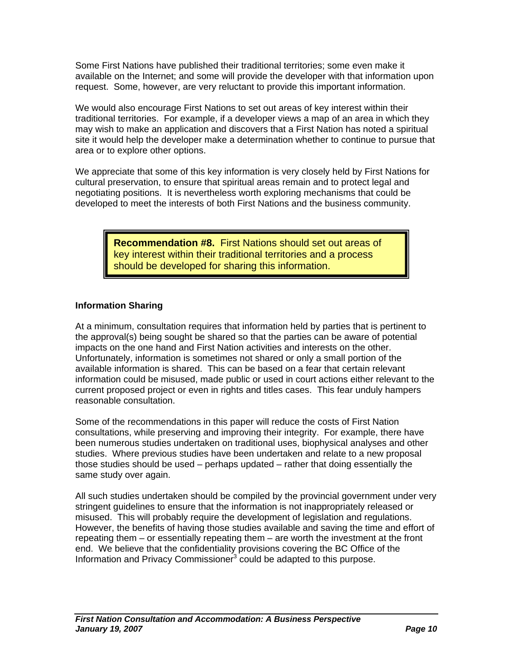Some First Nations have published their traditional territories; some even make it available on the Internet; and some will provide the developer with that information upon request. Some, however, are very reluctant to provide this important information.

We would also encourage First Nations to set out areas of key interest within their traditional territories. For example, if a developer views a map of an area in which they may wish to make an application and discovers that a First Nation has noted a spiritual site it would help the developer make a determination whether to continue to pursue that area or to explore other options.

We appreciate that some of this key information is very closely held by First Nations for cultural preservation, to ensure that spiritual areas remain and to protect legal and negotiating positions. It is nevertheless worth exploring mechanisms that could be developed to meet the interests of both First Nations and the business community.

> **Recommendation #8.** First Nations should set out areas of key interest within their traditional territories and a process should be developed for sharing this information.

#### **Information Sharing**

At a minimum, consultation requires that information held by parties that is pertinent to the approval(s) being sought be shared so that the parties can be aware of potential impacts on the one hand and First Nation activities and interests on the other. Unfortunately, information is sometimes not shared or only a small portion of the available information is shared. This can be based on a fear that certain relevant information could be misused, made public or used in court actions either relevant to the current proposed project or even in rights and titles cases. This fear unduly hampers reasonable consultation.

Some of the recommendations in this paper will reduce the costs of First Nation consultations, while preserving and improving their integrity. For example, there have been numerous studies undertaken on traditional uses, biophysical analyses and other studies. Where previous studies have been undertaken and relate to a new proposal those studies should be used – perhaps updated – rather that doing essentially the same study over again.

All such studies undertaken should be compiled by the provincial government under very stringent guidelines to ensure that the information is not inappropriately released or misused. This will probably require the development of legislation and regulations. However, the benefits of having those studies available and saving the time and effort of repeating them – or essentially repeating them – are worth the investment at the front end. We believe that the confidentiality provisions covering the BC Office of the Information and Privacy Commissioner<sup>3</sup> could be adapted to this purpose.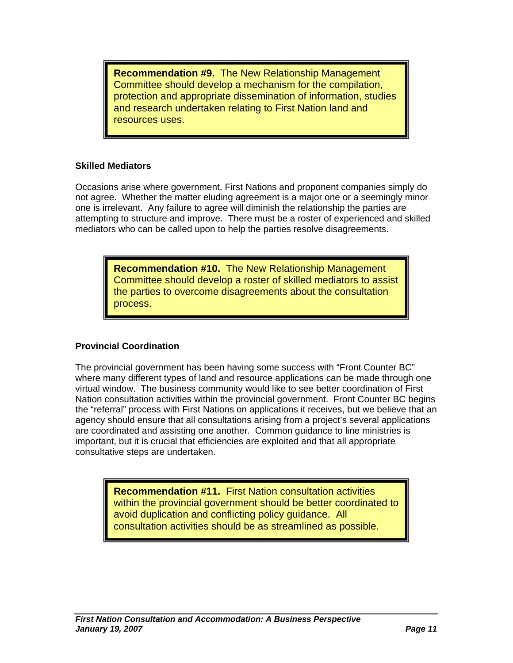**Recommendation #9.** The New Relationship Management Committee should develop a mechanism for the compilation, protection and appropriate dissemination of information, studies and research undertaken relating to First Nation land and resources uses.

#### **Skilled Mediators**

Occasions arise where government, First Nations and proponent companies simply do not agree. Whether the matter eluding agreement is a major one or a seemingly minor one is irrelevant. Any failure to agree will diminish the relationship the parties are attempting to structure and improve. There must be a roster of experienced and skilled mediators who can be called upon to help the parties resolve disagreements.

> **Recommendation #10.** The New Relationship Management Committee should develop a roster of skilled mediators to assist the parties to overcome disagreements about the consultation process.

### **Provincial Coordination**

The provincial government has been having some success with "Front Counter BC" where many different types of land and resource applications can be made through one virtual window. The business community would like to see better coordination of First Nation consultation activities within the provincial government. Front Counter BC begins the "referral" process with First Nations on applications it receives, but we believe that an agency should ensure that all consultations arising from a project's several applications are coordinated and assisting one another. Common guidance to line ministries is important, but it is crucial that efficiencies are exploited and that all appropriate consultative steps are undertaken.

> **Recommendation #11.** First Nation consultation activities within the provincial government should be better coordinated to avoid duplication and conflicting policy guidance. All consultation activities should be as streamlined as possible.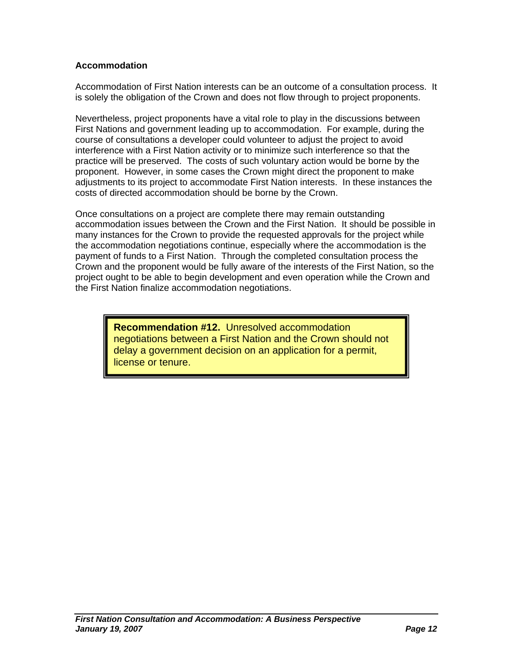#### **Accommodation**

Accommodation of First Nation interests can be an outcome of a consultation process. It is solely the obligation of the Crown and does not flow through to project proponents.

Nevertheless, project proponents have a vital role to play in the discussions between First Nations and government leading up to accommodation. For example, during the course of consultations a developer could volunteer to adjust the project to avoid interference with a First Nation activity or to minimize such interference so that the practice will be preserved. The costs of such voluntary action would be borne by the proponent. However, in some cases the Crown might direct the proponent to make adjustments to its project to accommodate First Nation interests. In these instances the costs of directed accommodation should be borne by the Crown.

Once consultations on a project are complete there may remain outstanding accommodation issues between the Crown and the First Nation. It should be possible in many instances for the Crown to provide the requested approvals for the project while the accommodation negotiations continue, especially where the accommodation is the payment of funds to a First Nation. Through the completed consultation process the Crown and the proponent would be fully aware of the interests of the First Nation, so the project ought to be able to begin development and even operation while the Crown and the First Nation finalize accommodation negotiations.

> **Recommendation #12.** Unresolved accommodation negotiations between a First Nation and the Crown should not delay a government decision on an application for a permit, license or tenure.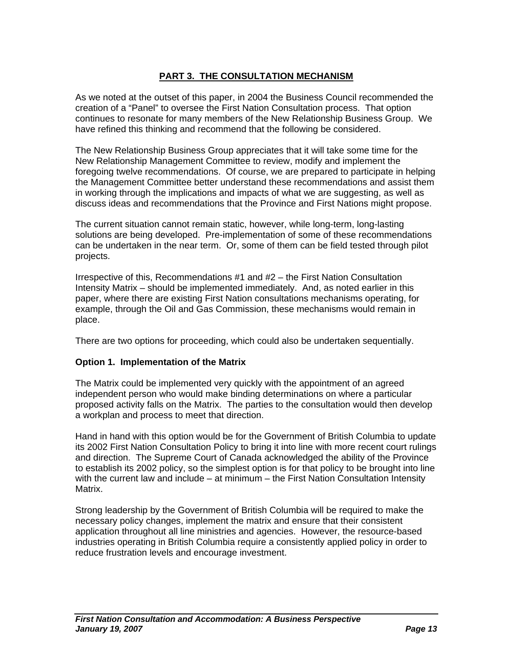## **PART 3. THE CONSULTATION MECHANISM**

As we noted at the outset of this paper, in 2004 the Business Council recommended the creation of a "Panel" to oversee the First Nation Consultation process. That option continues to resonate for many members of the New Relationship Business Group. We have refined this thinking and recommend that the following be considered.

The New Relationship Business Group appreciates that it will take some time for the New Relationship Management Committee to review, modify and implement the foregoing twelve recommendations. Of course, we are prepared to participate in helping the Management Committee better understand these recommendations and assist them in working through the implications and impacts of what we are suggesting, as well as discuss ideas and recommendations that the Province and First Nations might propose.

The current situation cannot remain static, however, while long-term, long-lasting solutions are being developed. Pre-implementation of some of these recommendations can be undertaken in the near term. Or, some of them can be field tested through pilot projects.

Irrespective of this, Recommendations #1 and #2 – the First Nation Consultation Intensity Matrix – should be implemented immediately. And, as noted earlier in this paper, where there are existing First Nation consultations mechanisms operating, for example, through the Oil and Gas Commission, these mechanisms would remain in place.

There are two options for proceeding, which could also be undertaken sequentially.

#### **Option 1. Implementation of the Matrix**

The Matrix could be implemented very quickly with the appointment of an agreed independent person who would make binding determinations on where a particular proposed activity falls on the Matrix. The parties to the consultation would then develop a workplan and process to meet that direction.

Hand in hand with this option would be for the Government of British Columbia to update its 2002 First Nation Consultation Policy to bring it into line with more recent court rulings and direction. The Supreme Court of Canada acknowledged the ability of the Province to establish its 2002 policy, so the simplest option is for that policy to be brought into line with the current law and include – at minimum – the First Nation Consultation Intensity Matrix.

Strong leadership by the Government of British Columbia will be required to make the necessary policy changes, implement the matrix and ensure that their consistent application throughout all line ministries and agencies. However, the resource-based industries operating in British Columbia require a consistently applied policy in order to reduce frustration levels and encourage investment.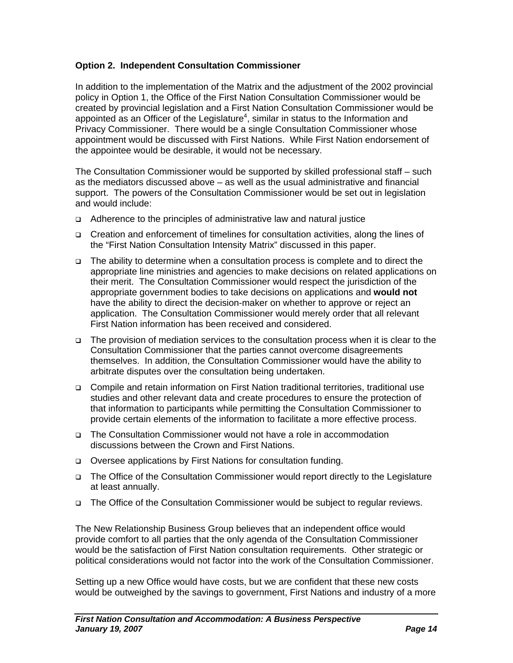#### **Option 2. Independent Consultation Commissioner**

In addition to the implementation of the Matrix and the adjustment of the 2002 provincial policy in Option 1, the Office of the First Nation Consultation Commissioner would be created by provincial legislation and a First Nation Consultation Commissioner would be appointed as an Officer of the Legislature<sup>4</sup>, similar in status to the Information and Privacy Commissioner. There would be a single Consultation Commissioner whose appointment would be discussed with First Nations. While First Nation endorsement of the appointee would be desirable, it would not be necessary.

The Consultation Commissioner would be supported by skilled professional staff – such as the mediators discussed above – as well as the usual administrative and financial support. The powers of the Consultation Commissioner would be set out in legislation and would include:

- Adherence to the principles of administrative law and natural justice
- Creation and enforcement of timelines for consultation activities, along the lines of the "First Nation Consultation Intensity Matrix" discussed in this paper.
- The ability to determine when a consultation process is complete and to direct the appropriate line ministries and agencies to make decisions on related applications on their merit. The Consultation Commissioner would respect the jurisdiction of the appropriate government bodies to take decisions on applications and **would not**  have the ability to direct the decision-maker on whether to approve or reject an application. The Consultation Commissioner would merely order that all relevant First Nation information has been received and considered.
- The provision of mediation services to the consultation process when it is clear to the Consultation Commissioner that the parties cannot overcome disagreements themselves. In addition, the Consultation Commissioner would have the ability to arbitrate disputes over the consultation being undertaken.
- Compile and retain information on First Nation traditional territories, traditional use studies and other relevant data and create procedures to ensure the protection of that information to participants while permitting the Consultation Commissioner to provide certain elements of the information to facilitate a more effective process.
- The Consultation Commissioner would not have a role in accommodation discussions between the Crown and First Nations.
- □ Oversee applications by First Nations for consultation funding.
- The Office of the Consultation Commissioner would report directly to the Legislature at least annually.
- The Office of the Consultation Commissioner would be subject to regular reviews.

The New Relationship Business Group believes that an independent office would provide comfort to all parties that the only agenda of the Consultation Commissioner would be the satisfaction of First Nation consultation requirements. Other strategic or political considerations would not factor into the work of the Consultation Commissioner.

Setting up a new Office would have costs, but we are confident that these new costs would be outweighed by the savings to government, First Nations and industry of a more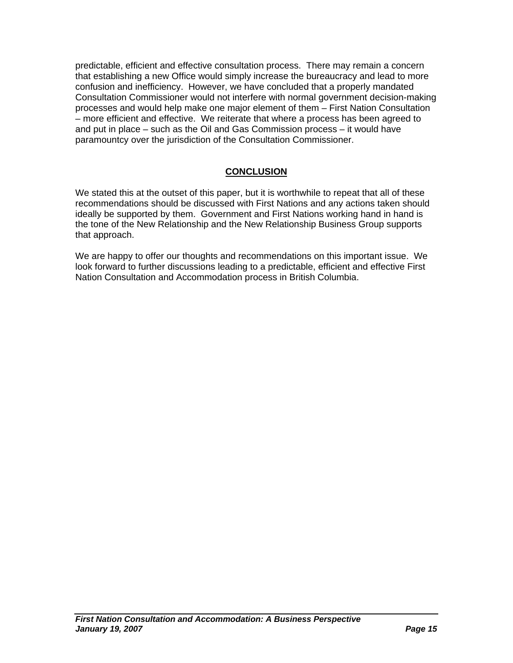predictable, efficient and effective consultation process. There may remain a concern that establishing a new Office would simply increase the bureaucracy and lead to more confusion and inefficiency. However, we have concluded that a properly mandated Consultation Commissioner would not interfere with normal government decision-making processes and would help make one major element of them – First Nation Consultation – more efficient and effective. We reiterate that where a process has been agreed to and put in place – such as the Oil and Gas Commission process – it would have paramountcy over the jurisdiction of the Consultation Commissioner.

## **CONCLUSION**

We stated this at the outset of this paper, but it is worthwhile to repeat that all of these recommendations should be discussed with First Nations and any actions taken should ideally be supported by them. Government and First Nations working hand in hand is the tone of the New Relationship and the New Relationship Business Group supports that approach.

We are happy to offer our thoughts and recommendations on this important issue. We look forward to further discussions leading to a predictable, efficient and effective First Nation Consultation and Accommodation process in British Columbia.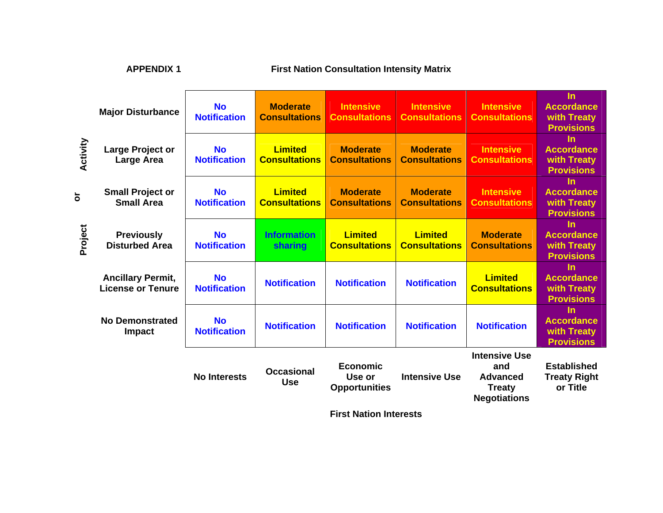| <b>APPENDIX 1</b> |                                                      | <b>First Nation Consultation Intensity Matrix</b> |                                         |                                                   |                                          |                                                                                        |                                                                    |
|-------------------|------------------------------------------------------|---------------------------------------------------|-----------------------------------------|---------------------------------------------------|------------------------------------------|----------------------------------------------------------------------------------------|--------------------------------------------------------------------|
|                   | <b>Major Disturbance</b>                             | <b>No</b><br><b>Notification</b>                  | <b>Moderate</b><br><b>Consultations</b> | <b>Intensive</b><br><b>Consultations</b>          | <b>Intensive</b><br><b>Consultations</b> | <b>Intensive</b><br><b>Consultations</b>                                               | <b>In</b><br><b>Accordance</b><br>with Treaty<br><b>Provisions</b> |
| Activity          | Large Project or<br><b>Large Area</b>                | <b>No</b><br><b>Notification</b>                  | <b>Limited</b><br><b>Consultations</b>  | <b>Moderate</b><br><b>Consultations</b>           | <b>Moderate</b><br><b>Consultations</b>  | <b>Intensive</b><br><b>Consultations</b>                                               | <b>In</b><br><b>Accordance</b><br>with Treaty<br><b>Provisions</b> |
| $\overline{5}$    | <b>Small Project or</b><br><b>Small Area</b>         | <b>No</b><br><b>Notification</b>                  | <b>Limited</b><br><b>Consultations</b>  | <b>Moderate</b><br><b>Consultations</b>           | <b>Moderate</b><br><b>Consultations</b>  | <b>Intensive</b><br><b>Consultations</b>                                               | <b>In</b><br><b>Accordance</b><br>with Treaty<br><b>Provisions</b> |
| Project           | <b>Previously</b><br><b>Disturbed Area</b>           | <b>No</b><br><b>Notification</b>                  | <b>Information</b><br>sharing           | <b>Limited</b><br><b>Consultations</b>            | <b>Limited</b><br><b>Consultations</b>   | <b>Moderate</b><br><b>Consultations</b>                                                | $\ln$<br><b>Accordance</b><br>with Treaty<br><b>Provisions</b>     |
|                   | <b>Ancillary Permit,</b><br><b>License or Tenure</b> | <b>No</b><br><b>Notification</b>                  | <b>Notification</b>                     | <b>Notification</b>                               | <b>Notification</b>                      | <b>Limited</b><br><b>Consultations</b>                                                 | <b>In</b><br><b>Accordance</b><br>with Treaty<br><b>Provisions</b> |
|                   | <b>No Demonstrated</b><br><b>Impact</b>              | <b>No</b><br><b>Notification</b>                  | <b>Notification</b>                     | <b>Notification</b>                               | <b>Notification</b>                      | <b>Notification</b>                                                                    | $\ln$<br><b>Accordance</b><br>with Treaty<br><b>Provisions</b>     |
|                   |                                                      | <b>No Interests</b>                               | <b>Occasional</b><br><b>Use</b>         | <b>Economic</b><br>Use or<br><b>Opportunities</b> | <b>Intensive Use</b>                     | <b>Intensive Use</b><br>and<br><b>Advanced</b><br><b>Treaty</b><br><b>Negotiations</b> | <b>Established</b><br><b>Treaty Right</b><br>or Title              |
|                   |                                                      | <b>First Nation Interests</b>                     |                                         |                                                   |                                          |                                                                                        |                                                                    |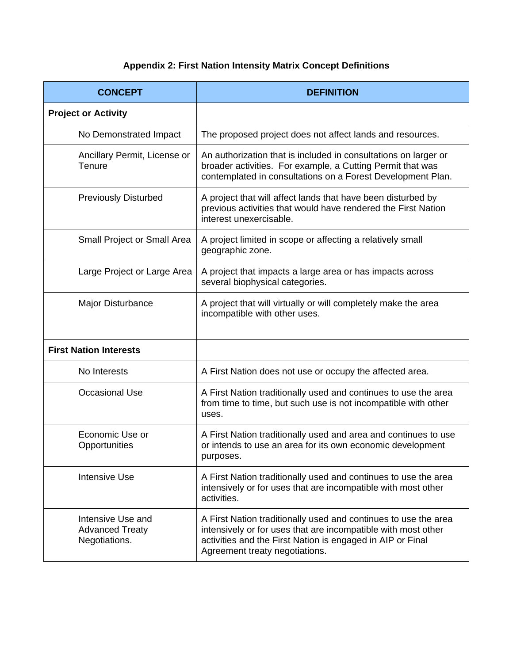## **Appendix 2: First Nation Intensity Matrix Concept Definitions**

| <b>CONCEPT</b>                                               | <b>DEFINITION</b>                                                                                                                                                                                                                |  |  |
|--------------------------------------------------------------|----------------------------------------------------------------------------------------------------------------------------------------------------------------------------------------------------------------------------------|--|--|
| <b>Project or Activity</b>                                   |                                                                                                                                                                                                                                  |  |  |
| No Demonstrated Impact                                       | The proposed project does not affect lands and resources.                                                                                                                                                                        |  |  |
| Ancillary Permit, License or<br>Tenure                       | An authorization that is included in consultations on larger or<br>broader activities. For example, a Cutting Permit that was<br>contemplated in consultations on a Forest Development Plan.                                     |  |  |
| <b>Previously Disturbed</b>                                  | A project that will affect lands that have been disturbed by<br>previous activities that would have rendered the First Nation<br>interest unexercisable.                                                                         |  |  |
| <b>Small Project or Small Area</b>                           | A project limited in scope or affecting a relatively small<br>geographic zone.                                                                                                                                                   |  |  |
| Large Project or Large Area                                  | A project that impacts a large area or has impacts across<br>several biophysical categories.                                                                                                                                     |  |  |
| Major Disturbance                                            | A project that will virtually or will completely make the area<br>incompatible with other uses.                                                                                                                                  |  |  |
| <b>First Nation Interests</b>                                |                                                                                                                                                                                                                                  |  |  |
| No Interests                                                 | A First Nation does not use or occupy the affected area.                                                                                                                                                                         |  |  |
| <b>Occasional Use</b>                                        | A First Nation traditionally used and continues to use the area<br>from time to time, but such use is not incompatible with other<br>uses.                                                                                       |  |  |
| Economic Use or<br>Opportunities                             | A First Nation traditionally used and area and continues to use<br>or intends to use an area for its own economic development<br>purposes.                                                                                       |  |  |
| <b>Intensive Use</b>                                         | A First Nation traditionally used and continues to use the area<br>intensively or for uses that are incompatible with most other<br>activities.                                                                                  |  |  |
| Intensive Use and<br><b>Advanced Treaty</b><br>Negotiations. | A First Nation traditionally used and continues to use the area<br>intensively or for uses that are incompatible with most other<br>activities and the First Nation is engaged in AIP or Final<br>Agreement treaty negotiations. |  |  |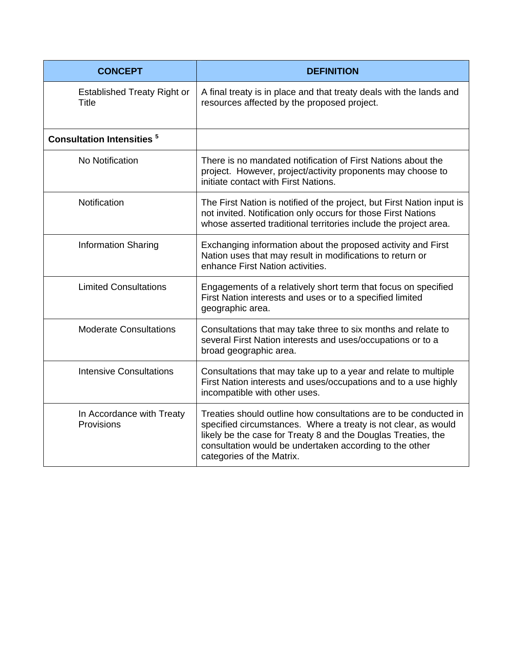| <b>CONCEPT</b>                              | <b>DEFINITION</b>                                                                                                                                                                                                                                                                           |
|---------------------------------------------|---------------------------------------------------------------------------------------------------------------------------------------------------------------------------------------------------------------------------------------------------------------------------------------------|
| <b>Established Treaty Right or</b><br>Title | A final treaty is in place and that treaty deals with the lands and<br>resources affected by the proposed project.                                                                                                                                                                          |
| <b>Consultation Intensities<sup>5</sup></b> |                                                                                                                                                                                                                                                                                             |
| No Notification                             | There is no mandated notification of First Nations about the<br>project. However, project/activity proponents may choose to<br>initiate contact with First Nations.                                                                                                                         |
| Notification                                | The First Nation is notified of the project, but First Nation input is<br>not invited. Notification only occurs for those First Nations<br>whose asserted traditional territories include the project area.                                                                                 |
| <b>Information Sharing</b>                  | Exchanging information about the proposed activity and First<br>Nation uses that may result in modifications to return or<br>enhance First Nation activities.                                                                                                                               |
| <b>Limited Consultations</b>                | Engagements of a relatively short term that focus on specified<br>First Nation interests and uses or to a specified limited<br>geographic area.                                                                                                                                             |
| <b>Moderate Consultations</b>               | Consultations that may take three to six months and relate to<br>several First Nation interests and uses/occupations or to a<br>broad geographic area.                                                                                                                                      |
| <b>Intensive Consultations</b>              | Consultations that may take up to a year and relate to multiple<br>First Nation interests and uses/occupations and to a use highly<br>incompatible with other uses.                                                                                                                         |
| In Accordance with Treaty<br>Provisions     | Treaties should outline how consultations are to be conducted in<br>specified circumstances. Where a treaty is not clear, as would<br>likely be the case for Treaty 8 and the Douglas Treaties, the<br>consultation would be undertaken according to the other<br>categories of the Matrix. |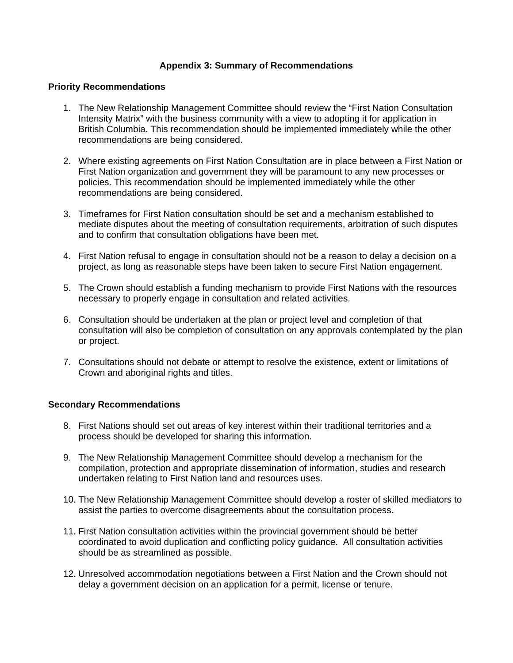#### **Appendix 3: Summary of Recommendations**

#### **Priority Recommendations**

- 1. The New Relationship Management Committee should review the "First Nation Consultation Intensity Matrix" with the business community with a view to adopting it for application in British Columbia. This recommendation should be implemented immediately while the other recommendations are being considered.
- 2. Where existing agreements on First Nation Consultation are in place between a First Nation or First Nation organization and government they will be paramount to any new processes or policies. This recommendation should be implemented immediately while the other recommendations are being considered.
- 3. Timeframes for First Nation consultation should be set and a mechanism established to mediate disputes about the meeting of consultation requirements, arbitration of such disputes and to confirm that consultation obligations have been met.
- 4. First Nation refusal to engage in consultation should not be a reason to delay a decision on a project, as long as reasonable steps have been taken to secure First Nation engagement.
- 5. The Crown should establish a funding mechanism to provide First Nations with the resources necessary to properly engage in consultation and related activities.
- 6. Consultation should be undertaken at the plan or project level and completion of that consultation will also be completion of consultation on any approvals contemplated by the plan or project.
- 7. Consultations should not debate or attempt to resolve the existence, extent or limitations of Crown and aboriginal rights and titles.

#### **Secondary Recommendations**

- 8. First Nations should set out areas of key interest within their traditional territories and a process should be developed for sharing this information.
- 9. The New Relationship Management Committee should develop a mechanism for the compilation, protection and appropriate dissemination of information, studies and research undertaken relating to First Nation land and resources uses.
- 10. The New Relationship Management Committee should develop a roster of skilled mediators to assist the parties to overcome disagreements about the consultation process.
- 11. First Nation consultation activities within the provincial government should be better coordinated to avoid duplication and conflicting policy guidance. All consultation activities should be as streamlined as possible.
- 12. Unresolved accommodation negotiations between a First Nation and the Crown should not delay a government decision on an application for a permit, license or tenure.